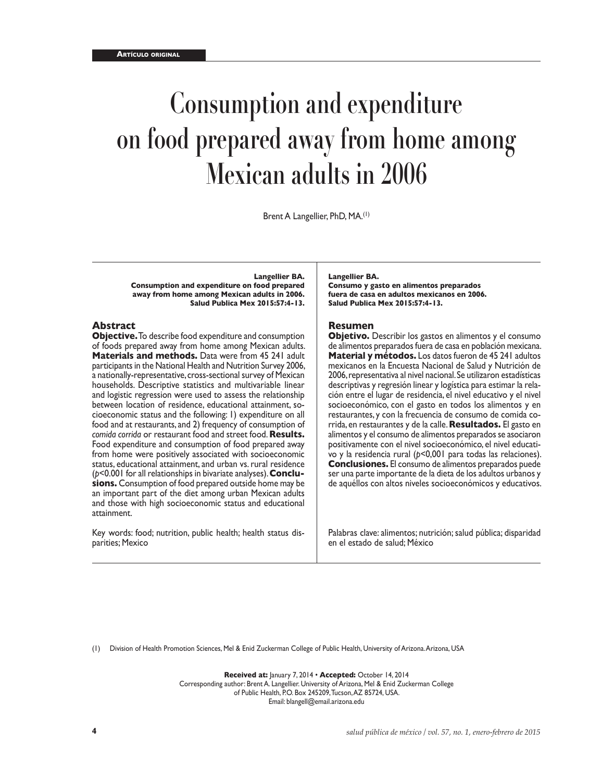# **Consumption and expenditure on food prepared away from home among Mexican adults in 2006**

Brent A Langellier, PhD, MA.(1)

**Langellier BA.**

**Consumption and expenditure on food prepared away from home among Mexican adults in 2006. Salud Publica Mex 2015:57:4-13.**

#### **Abstract**

**Objective.** To describe food expenditure and consumption of foods prepared away from home among Mexican adults. **Materials and methods.** Data were from 45 241 adult participants in the National Health and Nutrition Survey 2006, a nationally-representative, cross-sectional survey of Mexican households. Descriptive statistics and multivariable linear and logistic regression were used to assess the relationship between location of residence, educational attainment, socioeconomic status and the following: 1) expenditure on all food and at restaurants, and 2) frequency of consumption of *comida corrida* or restaurant food and street food. **Results.**  Food expenditure and consumption of food prepared away from home were positively associated with socioeconomic status, educational attainment, and urban vs. rural residence (*p*<0.001 for all relationships in bivariate analyses). **Conclusions.** Consumption of food prepared outside home may be an important part of the diet among urban Mexican adults and those with high socioeconomic status and educational attainment.

Key words: food; nutrition, public health; health status disparities; Mexico

#### **Langellier BA.**

**Consumo y gasto en alimentos preparados fuera de casa en adultos mexicanos en 2006. Salud Publica Mex 2015:57:4-13.**

#### **Resumen**

**Objetivo.** Describir los gastos en alimentos y el consumo de alimentos preparados fuera de casa en población mexicana. **Material y métodos.** Los datos fueron de 45 241 adultos mexicanos en la Encuesta Nacional de Salud y Nutrición de 2006, representativa al nivel nacional. Se utilizaron estadísticas descriptivas y regresión linear y logística para estimar la relación entre el lugar de residencia, el nivel educativo y el nivel socioeconómico, con el gasto en todos los alimentos y en restaurantes, y con la frecuencia de consumo de comida corrida, en restaurantes y de la calle. **Resultados.** El gasto en alimentos y el consumo de alimentos preparados se asociaron positivamente con el nivel socioeconómico, el nivel educativo y la residencia rural (*p*<0,001 para todas las relaciones). **Conclusiones.** El consumo de alimentos preparados puede ser una parte importante de la dieta de los adultos urbanos y de aquéllos con altos niveles socioeconómicos y educativos.

Palabras clave: alimentos; nutrición; salud pública; disparidad en el estado de salud; México

(1) Division of Health Promotion Sciences, Mel & Enid Zuckerman College of Public Health, University of Arizona. Arizona, USA

**Received at:** January 7, 2014 • **Accepted:** October 14, 2014 Corresponding author: Brent A. Langellier. University of Arizona, Mel & Enid Zuckerman College of Public Health, P.O. Box 245209, Tucson, AZ 85724, USA. Email: blangell@email.arizona.edu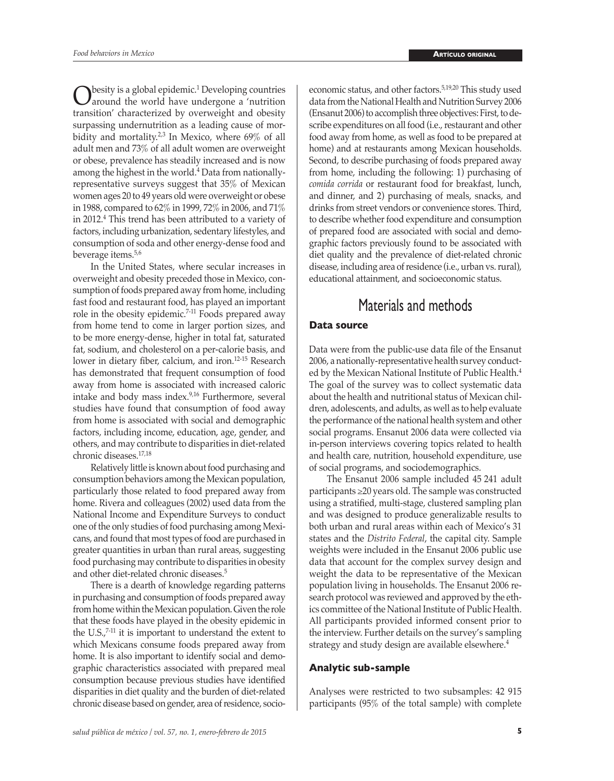$\bigodot$  besity is a global epidemic.<sup>1</sup> Developing countries a countries a countries world have undergone a countries besity is a global epidemic.<sup>1</sup> Developing countries transition' characterized by overweight and obesity surpassing undernutrition as a leading cause of morbidity and mortality.<sup>2,3</sup> In Mexico, where 69% of all adult men and 73% of all adult women are overweight or obese, prevalence has steadily increased and is now among the highest in the world.<sup>4</sup> Data from nationallyrepresentative surveys suggest that 35% of Mexican women ages 20 to 49 years old were overweight or obese in 1988, compared to 62% in 1999, 72% in 2006, and 71% in 2012.4 This trend has been attributed to a variety of factors, including urbanization, sedentary lifestyles, and consumption of soda and other energy-dense food and beverage items.<sup>5,6</sup>

In the United States, where secular increases in overweight and obesity preceded those in Mexico, consumption of foods prepared away from home, including fast food and restaurant food, has played an important role in the obesity epidemic.7-11 Foods prepared away from home tend to come in larger portion sizes, and to be more energy-dense, higher in total fat, saturated fat, sodium, and cholesterol on a per-calorie basis, and lower in dietary fiber, calcium, and iron.<sup>12-15</sup> Research has demonstrated that frequent consumption of food away from home is associated with increased caloric intake and body mass index.9,16 Furthermore, several studies have found that consumption of food away from home is associated with social and demographic factors, including income, education, age, gender, and others, and may contribute to disparities in diet-related chronic diseases.17,18

Relatively little is known about food purchasing and consumption behaviors among the Mexican population, particularly those related to food prepared away from home. Rivera and colleagues (2002) used data from the National Income and Expenditure Surveys to conduct one of the only studies of food purchasing among Mexicans, and found that most types of food are purchased in greater quantities in urban than rural areas, suggesting food purchasing may contribute to disparities in obesity and other diet-related chronic diseases.5

There is a dearth of knowledge regarding patterns in purchasing and consumption of foods prepared away from home within the Mexican population. Given the role that these foods have played in the obesity epidemic in the U.S.,7-11 it is important to understand the extent to which Mexicans consume foods prepared away from home. It is also important to identify social and demographic characteristics associated with prepared meal consumption because previous studies have identified disparities in diet quality and the burden of diet-related chronic disease based on gender, area of residence, socioeconomic status, and other factors.<sup>5,19,20</sup> This study used data from the National Health and Nutrition Survey 2006 (Ensanut 2006) to accomplish three objectives: First, to describe expenditures on all food (i.e., restaurant and other food away from home, as well as food to be prepared at home) and at restaurants among Mexican households. Second, to describe purchasing of foods prepared away from home, including the following: 1) purchasing of *comida corrida* or restaurant food for breakfast, lunch, and dinner, and 2) purchasing of meals, snacks, and drinks from street vendors or convenience stores. Third, to describe whether food expenditure and consumption of prepared food are associated with social and demographic factors previously found to be associated with diet quality and the prevalence of diet-related chronic disease, including area of residence (i.e., urban vs. rural), educational attainment, and socioeconomic status.

# Materials and methods

### **Data source**

Data were from the public-use data file of the Ensanut 2006, a nationally-representative health survey conducted by the Mexican National Institute of Public Health.<sup>4</sup> The goal of the survey was to collect systematic data about the health and nutritional status of Mexican children, adolescents, and adults, as well as to help evaluate the performance of the national health system and other social programs. Ensanut 2006 data were collected via in-person interviews covering topics related to health and health care, nutrition, household expenditure, use of social programs, and sociodemographics.

The Ensanut 2006 sample included 45 241 adult participants ≥20 years old. The sample was constructed using a stratified, multi-stage, clustered sampling plan and was designed to produce generalizable results to both urban and rural areas within each of Mexico's 31 states and the *Distrito Federal*, the capital city. Sample weights were included in the Ensanut 2006 public use data that account for the complex survey design and weight the data to be representative of the Mexican population living in households. The Ensanut 2006 research protocol was reviewed and approved by the ethics committee of the National Institute of Public Health. All participants provided informed consent prior to the interview. Further details on the survey's sampling strategy and study design are available elsewhere.<sup>4</sup>

#### **Analytic sub-sample**

Analyses were restricted to two subsamples: 42 915 participants (95% of the total sample) with complete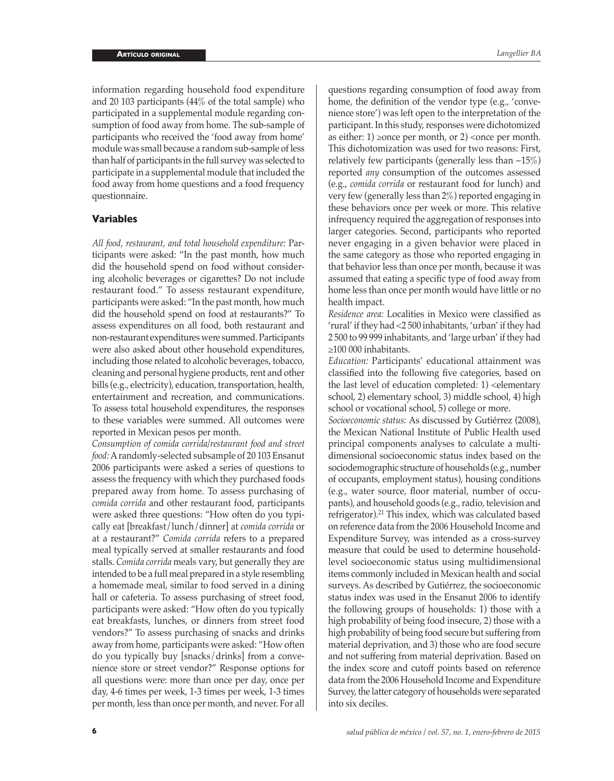information regarding household food expenditure and 20 103 participants (44% of the total sample) who participated in a supplemental module regarding consumption of food away from home. The sub-sample of participants who received the 'food away from home' module was small because a random sub-sample of less than half of participants in the full survey was selected to participate in a supplemental module that included the food away from home questions and a food frequency questionnaire.

## **Variables**

*All food, restaurant, and total household expenditure:* Participants were asked: "In the past month, how much did the household spend on food without considering alcoholic beverages or cigarettes? Do not include restaurant food." To assess restaurant expenditure, participants were asked: "In the past month, how much did the household spend on food at restaurants?" To assess expenditures on all food, both restaurant and non-restaurant expenditures were summed. Participants were also asked about other household expenditures, including those related to alcoholic beverages, tobacco, cleaning and personal hygiene products, rent and other bills (e.g., electricity), education, transportation, health, entertainment and recreation, and communications. To assess total household expenditures, the responses to these variables were summed. All outcomes were reported in Mexican pesos per month.

*Consumption of comida corrida/restaurant food and street food:* A randomly-selected subsample of 20 103 Ensanut 2006 participants were asked a series of questions to assess the frequency with which they purchased foods prepared away from home. To assess purchasing of *comida corrida* and other restaurant food, participants were asked three questions: "How often do you typically eat [breakfast/lunch/dinner] at *comida corrida* or at a restaurant?" *Comida corrida* refers to a prepared meal typically served at smaller restaurants and food stalls. *Comida corrida* meals vary, but generally they are intended to be a full meal prepared in a style resembling a homemade meal, similar to food served in a dining hall or cafeteria. To assess purchasing of street food, participants were asked: "How often do you typically eat breakfasts, lunches, or dinners from street food vendors?" To assess purchasing of snacks and drinks away from home, participants were asked: "How often do you typically buy [snacks/drinks] from a convenience store or street vendor?" Response options for all questions were: more than once per day, once per day, 4-6 times per week, 1-3 times per week, 1-3 times per month, less than once per month, and never. For all

questions regarding consumption of food away from home, the definition of the vendor type (e.g., 'convenience store') was left open to the interpretation of the participant. In this study, responses were dichotomized as either: 1) ≥once per month, or 2) <once per month. This dichotomization was used for two reasons: First, relatively few participants (generally less than  $~15\%)$ reported *any* consumption of the outcomes assessed (e.g., *comida corrida* or restaurant food for lunch) and very few (generally less than 2%) reported engaging in these behaviors once per week or more. This relative infrequency required the aggregation of responses into larger categories. Second, participants who reported never engaging in a given behavior were placed in the same category as those who reported engaging in that behavior less than once per month, because it was assumed that eating a specific type of food away from home less than once per month would have little or no health impact.

*Residence area:* Localities in Mexico were classified as 'rural' if they had <2 500 inhabitants, 'urban' if they had 2 500 to 99 999 inhabitants, and 'large urban' if they had ≥100 000 inhabitants.

*Education:* Participants' educational attainment was classified into the following five categories, based on the last level of education completed:  $1$ ) <elementary school, 2) elementary school, 3) middle school, 4) high school or vocational school, 5) college or more.

*Socioeconomic status:* As discussed by Gutiérrez (2008), the Mexican National Institute of Public Health used principal components analyses to calculate a multidimensional socioeconomic status index based on the sociodemographic structure of households (e.g., number of occupants, employment status), housing conditions (e.g., water source, floor material, number of occupants), and household goods (e.g., radio, television and refrigerator).21 This index, which was calculated based on reference data from the 2006 Household Income and Expenditure Survey, was intended as a cross-survey measure that could be used to determine householdlevel socioeconomic status using multidimensional items commonly included in Mexican health and social surveys. As described by Gutiérrez, the socioeconomic status index was used in the Ensanut 2006 to identify the following groups of households: 1) those with a high probability of being food insecure, 2) those with a high probability of being food secure but suffering from material deprivation, and 3) those who are food secure and not suffering from material deprivation. Based on the index score and cutoff points based on reference data from the 2006 Household Income and Expenditure Survey, the latter category of households were separated into six deciles.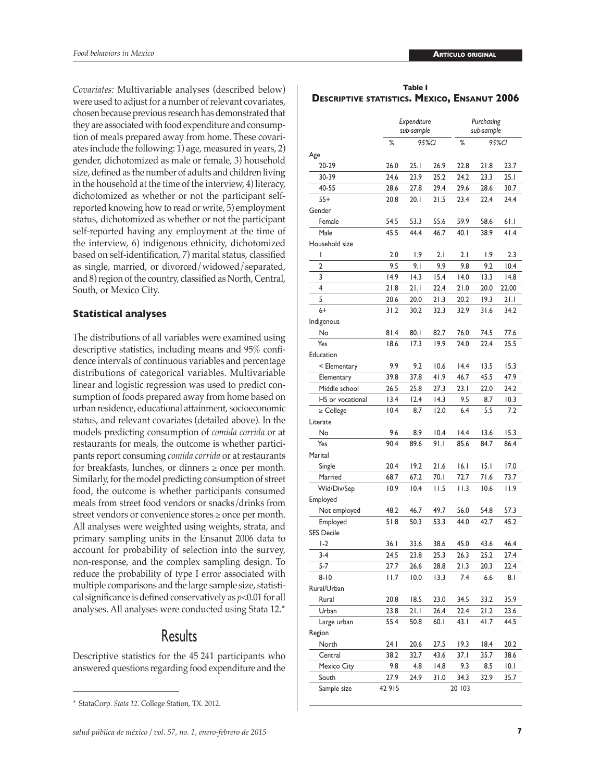*Covariates:* Multivariable analyses (described below) were used to adjust for a number of relevant covariates, chosen because previous research has demonstrated that they are associated with food expenditure and consumption of meals prepared away from home. These covariates include the following: 1) age, measured in years, 2) gender, dichotomized as male or female, 3) household size, defined as the number of adults and children living in the household at the time of the interview, 4) literacy, dichotomized as whether or not the participant selfreported knowing how to read or write, 5) employment status, dichotomized as whether or not the participant self-reported having any employment at the time of the interview, 6) indigenous ethnicity, dichotomized based on self-identification, 7) marital status, classified as single, married, or divorced/widowed/separated, and 8) region of the country, classified as North, Central, South, or Mexico City.

#### **Statistical analyses**

The distributions of all variables were examined using descriptive statistics, including means and 95% confidence intervals of continuous variables and percentage distributions of categorical variables. Multivariable linear and logistic regression was used to predict consumption of foods prepared away from home based on urban residence, educational attainment, socioeconomic status, and relevant covariates (detailed above). In the models predicting consumption of *comida corrida* or at restaurants for meals, the outcome is whether participants report consuming *comida corrida* or at restaurants for breakfasts, lunches, or dinners ≥ once per month. Similarly, for the model predicting consumption of street food, the outcome is whether participants consumed meals from street food vendors or snacks/drinks from street vendors or convenience stores ≥ once per month. All analyses were weighted using weights, strata, and primary sampling units in the Ensanut 2006 data to account for probability of selection into the survey, non-response, and the complex sampling design. To reduce the probability of type I error associated with multiple comparisons and the large sample size, statistical significance is defined conservatively as *p*<0.01 for all analyses. All analyses were conducted using Stata 12.\*

# Results

Descriptive statistics for the 45 241 participants who answered questions regarding food expenditure and the

| Table I                                             |  |  |  |  |  |  |  |
|-----------------------------------------------------|--|--|--|--|--|--|--|
| <b>DESCRIPTIVE STATISTICS. MEXICO, ENSANUT 2006</b> |  |  |  |  |  |  |  |

|                   |       | Expenditure<br>sub-sample |       |        | Purchasing<br>sub-sample |       |  |
|-------------------|-------|---------------------------|-------|--------|--------------------------|-------|--|
|                   | %     | 95%CI                     |       | %      | 95%CI                    |       |  |
| Age               |       |                           |       |        |                          |       |  |
| 20-29             | 26.0  | 25.1                      | 26.9  | 22.8   | 21.8                     | 23.7  |  |
| 30-39             | 24.6  | 23.9                      | 25.2  | 24.2   | 23.3                     | 25.1  |  |
| 40-55             | 28.6  | 27.8                      | 29.4  | 29.6   | 28.6                     | 30.7  |  |
| $55+$             | 20.8  | 20. I                     | 21.5  | 23.4   | 22.4                     | 24.4  |  |
| Gender            |       |                           |       |        |                          |       |  |
| Female            | 54.5  | 53.3                      | 55.6  | 59.9   | 58.6                     | 61.1  |  |
| Male              | 45.5  | 44.4                      | 46.7  | 40.1   | 38.9                     | 41.4  |  |
| Household size    |       |                           |       |        |                          |       |  |
| I                 | 2.0   | 1.9                       | 2.1   | 2.1    | 1.9                      | 2.3   |  |
| $\overline{2}$    | 9.5   | 9.1                       | 9.9   | 9.8    | 9.2                      | 10.4  |  |
| 3                 | 14.9  | 14.3                      | 15.4  | 14.0   | 13.3                     | 14.8  |  |
| $\overline{4}$    | 21.8  | 21.1                      | 22.4  | 21.0   | 20.0                     | 22.00 |  |
| 5                 | 20.6  | 20.0                      | 21.3  | 20.2   | 19.3                     | 21.I  |  |
| $6+$              | 31.2  | 30.2                      | 32.3  | 32.9   | 31.6                     | 34.2  |  |
| Indigenous        |       |                           |       |        |                          |       |  |
| No                | 81.4  | 80. I                     | 82.7  | 76.0   | 74.5                     | 77.6  |  |
| Yes               | 18.6  | 17.3                      | 19.9  | 24.0   | 22.4                     | 25.5  |  |
| Education         |       |                           |       |        |                          |       |  |
| < Elementary      | 9.9   | 9.2                       | 10.6  | 14.4   | 13.5                     | 15.3  |  |
| Elementary        | 39.8  | 37.8                      | 41.9  | 46.7   | 45.5                     | 47.9  |  |
| Middle school     | 26.5  | 25.8                      | 27.3  | 23.1   | 22.0                     | 24.2  |  |
| HS or vocational  | 13.4  | 12.4                      | 14.3  | 9.5    | 8.7                      | 10.3  |  |
| $\geq$ College    | 10.4  | 8.7                       | 12.0  | 6.4    | 5.5                      | 7.2   |  |
| Literate          |       |                           |       |        |                          |       |  |
| No                | 9.6   | 8.9                       | 10.4  | 14.4   | 13.6                     | 15.3  |  |
| Yes               | 90.4  | 89.6                      | 91.I  | 85.6   | 84.7                     | 86.4  |  |
| Marital           |       |                           |       |        |                          |       |  |
| Single            | 20.4  | 19.2                      | 21.6  | 16.1   | 5.1                      | 17.0  |  |
| Married           | 68.7  | 67.2                      | 70. I | 72.7   | 71.6                     | 73.7  |  |
| Wid/Div/Sep       | 10.9  | 10.4                      | 11.5  | 11.3   | 10.6                     | I I.9 |  |
| Employed          |       |                           |       |        |                          |       |  |
| Not employed      | 48.2  | 46.7                      | 49.7  | 56.0   | 54.8                     | 57.3  |  |
| Employed          | 51.8  | 50.3                      | 53.3  | 44.0   | 42.7                     | 45.2  |  |
| <b>SES Decile</b> |       |                           |       |        |                          |       |  |
| $1-2$             | 36. I | 33.6                      | 38.6  | 45.0   | 43.6                     | 46.4  |  |
| $3-4$             | 24.5  | 23.8                      | 25.3  | 26.3   | 25.2                     | 27.4  |  |
| 5-7               | 27.7  | 26.6                      | 28.8  | 21.3   | 20.3                     | 22.4  |  |
| $8 - 10$          | I I.7 | 10.0                      | 13.3  | 7.4    | 6.6                      | 8. I  |  |
| Rural/Urban       |       |                           |       |        |                          |       |  |
| Rural             | 20.8  | 18.5                      | 23.0  | 34.5   | 33.2                     | 35.9  |  |
| Urban             | 23.8  | 21.1                      | 26.4  | 22.4   | 21.2                     | 23.6  |  |
| Large urban       | 55.4  | 50.8                      | 60.I  | 43.I   | 41.7                     | 44.5  |  |
| Region            |       |                           |       |        |                          |       |  |
| North             | 24.1  | 20.6                      | 27.5  | 19.3   | 18.4                     | 20.2  |  |
| Central           | 38.2  | 32.7                      | 43.6  | 37.I   | 35.7                     | 38.6  |  |
| Mexico City       | 9.8   | 4.8                       | 14.8  | 9.3    | 8.5                      | 0.1   |  |
| South             | 27.9  | 24.9                      | 31.0  | 34.3   | 32.9                     | 35.7  |  |
| Sample size       | 42915 |                           |       | 20 103 |                          |       |  |

<sup>\*</sup> StataCorp. *Stata 12*. College Station, TX. 2012.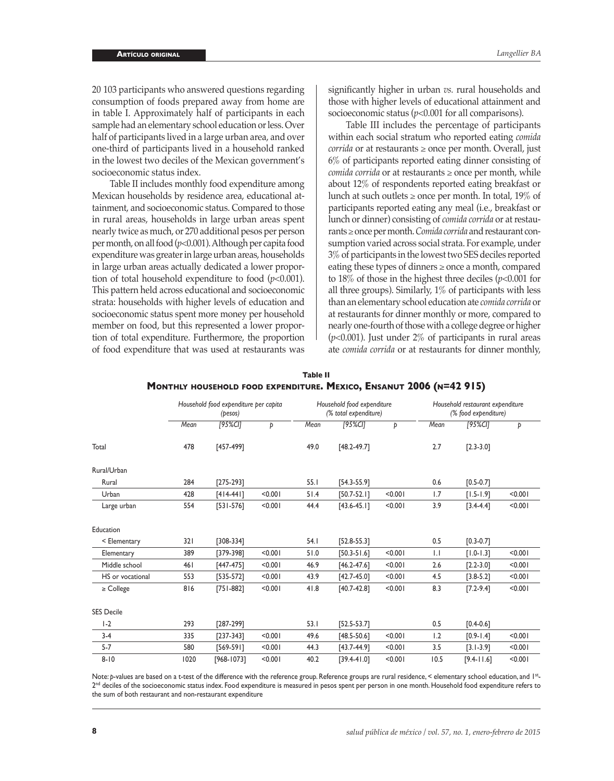20 103 participants who answered questions regarding consumption of foods prepared away from home are in table I. Approximately half of participants in each sample had an elementary school education or less. Over half of participants lived in a large urban area, and over one-third of participants lived in a household ranked in the lowest two deciles of the Mexican government's socioeconomic status index.

Table II includes monthly food expenditure among Mexican households by residence area, educational attainment, and socioeconomic status. Compared to those in rural areas, households in large urban areas spent nearly twice as much, or 270 additional pesos per person per month, on all food (*p*<0.001). Although per capita food expenditure was greater in large urban areas, households in large urban areas actually dedicated a lower proportion of total household expenditure to food (*p*<0.001). This pattern held across educational and socioeconomic strata: households with higher levels of education and socioeconomic status spent more money per household member on food, but this represented a lower proportion of total expenditure. Furthermore, the proportion of food expenditure that was used at restaurants was

significantly higher in urban *vs.* rural households and those with higher levels of educational attainment and socioeconomic status ( $p$ <0.001 for all comparisons).

Table III includes the percentage of participants within each social stratum who reported eating *comida corrida* or at restaurants ≥ once per month. Overall, just 6% of participants reported eating dinner consisting of *comida corrida* or at restaurants ≥ once per month, while about 12% of respondents reported eating breakfast or lunch at such outlets  $\geq$  once per month. In total, 19% of participants reported eating any meal (i.e., breakfast or lunch or dinner) consisting of *comida corrida* or at restaurants ≥ once per month. *Comida corrida* and restaurant consumption varied across social strata. For example, under 3% of participants in the lowest two SES deciles reported eating these types of dinners ≥ once a month, compared to 18% of those in the highest three deciles (*p*<0.001 for all three groups). Similarly,  $1\%$  of participants with less than an elementary school education ate *comida corrida* or at restaurants for dinner monthly or more, compared to nearly one-fourth of those with a college degree or higher (*p*<0.001). Just under 2% of participants in rural areas ate *comida corrida* or at restaurants for dinner monthly,

|                   |      | Household food expenditure per capita<br>(pesos) |         |      | Household food expenditure<br>(% total expenditure) |         | Household restaurant expenditure<br>(% food expenditure) |                |         |  |
|-------------------|------|--------------------------------------------------|---------|------|-----------------------------------------------------|---------|----------------------------------------------------------|----------------|---------|--|
|                   | Mean | $[95%$ CI]                                       | Þ       | Mean | [95%CI]                                             | Þ       | Mean                                                     | $[95%$ CI]     | Þ       |  |
| Total             | 478  | $[457-499]$                                      |         | 49.0 | $[48.2 - 49.7]$                                     |         | 2.7                                                      | $[2.3 - 3.0]$  |         |  |
| Rural/Urban       |      |                                                  |         |      |                                                     |         |                                                          |                |         |  |
| Rural             | 284  | $[275-293]$                                      |         | 55.1 | $[54.3 - 55.9]$                                     |         | 0.6                                                      | $[0.5 - 0.7]$  |         |  |
| Urban             | 428  | $[414-441]$                                      | < 0.001 | 51.4 | $[50.7 - 52.1]$                                     | < 0.001 | 1.7                                                      | $[1.5 - 1.9]$  | < 0.001 |  |
| Large urban       | 554  | $[531 - 576]$                                    | < 0.001 | 44.4 | $[43.6 - 45.1]$                                     | < 0.001 | 3.9                                                      | $[3.4 - 4.4]$  | < 0.001 |  |
| Education         |      |                                                  |         |      |                                                     |         |                                                          |                |         |  |
| < Elementary      | 321  | $[308-334]$                                      |         | 54.1 | $[52.8 - 55.3]$                                     |         | 0.5                                                      | $[0.3 - 0.7]$  |         |  |
| Elementary        | 389  | $[379-398]$                                      | < 0.001 | 51.0 | $[50.3 - 51.6]$                                     | < 0.001 | $\mathsf{L}$                                             | $[1.0 - 1.3]$  | < 0.001 |  |
| Middle school     | 461  | $[447-475]$                                      | < 0.001 | 46.9 | $[46.2 - 47.6]$                                     | < 0.001 | 2.6                                                      | $[2.2 - 3.0]$  | < 0.001 |  |
| HS or vocational  | 553  | $[535-572]$                                      | < 0.001 | 43.9 | $[42.7 - 45.0]$                                     | < 0.001 | 4.5                                                      | $[3.8 - 5.2]$  | < 0.001 |  |
| $\ge$ College     | 816  | $[751-882]$                                      | < 0.001 | 41.8 | $[40.7 - 42.8]$                                     | < 0.001 | 8.3                                                      | $[7.2 - 9.4]$  | < 0.001 |  |
| <b>SES Decile</b> |      |                                                  |         |      |                                                     |         |                                                          |                |         |  |
| $1-2$             | 293  | $[287-299]$                                      |         | 53.1 | $[52.5 - 53.7]$                                     |         | 0.5                                                      | $[0.4 - 0.6]$  |         |  |
| $3-4$             | 335  | $[237-343]$                                      | < 0.001 | 49.6 | $[48.5 - 50.6]$                                     | < 0.001 | 1.2                                                      | $[0.9 - 1.4]$  | < 0.001 |  |
| $5 - 7$           | 580  | $[569-591]$                                      | < 0.001 | 44.3 | $[43.7 - 44.9]$                                     | < 0.001 | 3.5                                                      | $[3.1 - 3.9]$  | < 0.001 |  |
| $8 - 10$          | 1020 | [968-1073]                                       | < 0.001 | 40.2 | [39.4-41.01                                         | < 0.001 | 10.5                                                     | $[9.4 - 11.6]$ | < 0.001 |  |

|                                                                     | Table II |  |  |
|---------------------------------------------------------------------|----------|--|--|
| Monthly household food expenditure. Mexico, Ensanut 2006 (n=42 915) |          |  |  |

Note: p-values are based on a t-test of the difference with the reference group. Reference groups are rural residence, < elementary school education, and 1<sup>st</sup>-2<sup>nd</sup> deciles of the socioeconomic status index. Food expenditure is measured in pesos spent per person in one month. Household food expenditure refers to the sum of both restaurant and non-restaurant expenditure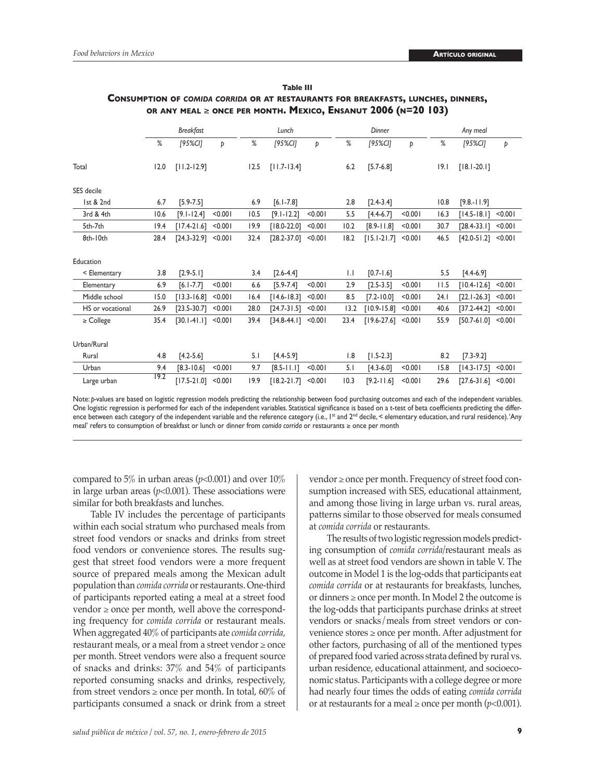|                  |      | <b>Breakfast</b> |         |      | Lunch           |         |              | Dinner          |         |      | Any meal        |         |
|------------------|------|------------------|---------|------|-----------------|---------|--------------|-----------------|---------|------|-----------------|---------|
|                  | %    | [95%CI]          | Þ       | %    | [95%CI]         | Þ       | %            | [95%CI]         | Þ       | %    | [95%CI]         | Þ       |
| Total            | 12.0 | $[11.2 - 12.9]$  |         | 12.5 | $[11.7-13.4]$   |         | 6.2          | $[5.7-6.8]$     |         | 9.1  | $[18.1 - 20.1]$ |         |
| SES decile       |      |                  |         |      |                 |         |              |                 |         |      |                 |         |
| 1st & 2nd        | 6.7  | $[5.9 - 7.5]$    |         | 6.9  | $[6.1 - 7.8]$   |         | 2.8          | $[2.4 - 3.4]$   |         | 10.8 | $[9.8 - 11.9]$  |         |
| 3rd & 4th        | 10.6 | $[9.1 - 12.4]$   | < 0.001 | 10.5 | $[9.1 - 12.2]$  | < 0.001 | 5.5          | $[4.4-6.7]$     | < 0.001 | 16.3 | $[14.5 - 18.1]$ | < 0.001 |
| 5th-7th          | 19.4 | $[17.4-21.6]$    | < 0.001 | 19.9 | $[18.0 - 22.0]$ | < 0.001 | 10.2         | $[8.9 - 11.8]$  | < 0.001 | 30.7 | $[28.4 - 33.1]$ | < 0.001 |
| 8th-10th         | 28.4 | $[24.3 - 32.9]$  | < 0.001 | 32.4 | $[28.2 - 37.0]$ | < 0.001 | 18.2         | $[15.1 - 21.7]$ | < 0.001 | 46.5 | $[42.0 - 51.2]$ | < 0.001 |
| Education        |      |                  |         |      |                 |         |              |                 |         |      |                 |         |
| < Elementary     | 3.8  | $[2.9 - 5.1]$    |         | 3.4  | $[2.6 - 4.4]$   |         | $\mathsf{L}$ | $[0.7 - 1.6]$   |         | 5.5  | $[4.4-6.9]$     |         |
| Elementary       | 6.9  | $[6.1 - 7.7]$    | < 0.001 | 6.6  | $[5.9 - 7.4]$   | < 0.001 | 2.9          | $[2.5 - 3.5]$   | < 0.001 | 11.5 | $[10.4 - 12.6]$ | < 0.001 |
| Middle school    | 15.0 | $[13.3 - 16.8]$  | < 0.001 | 16.4 | $[14.6 - 18.3]$ | < 0.001 | 8.5          | $[7.2 - 10.0]$  | < 0.001 | 24.1 | $[22.1 - 26.3]$ | < 0.001 |
| HS or vocational | 26.9 | $[23.5 - 30.7]$  | < 0.001 | 28.0 | $[24.7 - 31.5]$ | < 0.001 | 13.2         | $[10.9 - 15.8]$ | < 0.001 | 40.6 | $[37.2 - 44.2]$ | < 0.001 |
| $\ge$ College    | 35.4 | $[30.1 - 41.1]$  | < 0.001 | 39.4 | $[34.8 - 44.1]$ | < 0.001 | 23.4         | $[19.6 - 27.6]$ | < 0.001 | 55.9 | $[50.7 - 61.0]$ | < 0.001 |
| Urban/Rural      |      |                  |         |      |                 |         |              |                 |         |      |                 |         |
| Rural            | 4.8  | $[4.2 - 5.6]$    |         | 5.1  | $[4.4 - 5.9]$   |         | 1.8          | $[1.5 - 2.3]$   |         | 8.2  | $[7.3 - 9.2]$   |         |
| Urban            | 9.4  | $[8.3 - 10.6]$   | < 0.001 | 9.7  | $[8.5 - 11.1]$  | < 0.001 | 5.1          | $[4.3 - 6.0]$   | < 0.001 | 15.8 | $[14.3 - 17.5]$ | < 0.001 |
| Large urban      | 19.2 | $[17.5 - 21.0]$  | < 0.001 | 19.9 | $[18.2 - 21.7]$ | < 0.001 | 10.3         | $[9.2 - 11.6]$  | < 0.001 | 29.6 | $[27.6 - 31.6]$ | < 0.001 |

#### **Table III Consumption of** *comida corrida* **or at restaurants for breakfasts, lunches, dinners, or any meal** ≥ **once per month. Mexico, Ensanut 2006 (n=20 103)**

Note: *p-*values are based on logistic regression models predicting the relationship between food purchasing outcomes and each of the independent variables. One logistic regression is performed for each of the independent variables. Statistical significance is based on a t-test of beta coefficients predicting the difference between each category of the independent variable and the reference category (i.e., I<sup>st</sup> and 2<sup>nd</sup> decile, < elementary education, and rural residence). 'Any meal' refers to consumption of breakfast or lunch or dinner from *comida corrida* or restaurants ≥ once per month

compared to 5% in urban areas ( $p$ <0.001) and over 10% in large urban areas  $(p<0.001)$ . These associations were similar for both breakfasts and lunches.

Table IV includes the percentage of participants within each social stratum who purchased meals from street food vendors or snacks and drinks from street food vendors or convenience stores. The results suggest that street food vendors were a more frequent source of prepared meals among the Mexican adult population than *comida corrida* or restaurants. One-third of participants reported eating a meal at a street food  $v$ endor  $\geq$  once per month, well above the corresponding frequency for *comida corrida* or restaurant meals. When aggregated 40% of participants ate *comida corrida,*  restaurant meals, or a meal from a street vendor ≥ once per month. Street vendors were also a frequent source of snacks and drinks: 37% and 54% of participants reported consuming snacks and drinks, respectively, from street vendors  $\geq$  once per month. In total, 60% of participants consumed a snack or drink from a street

vendor ≥ once per month. Frequency of street food consumption increased with SES, educational attainment, and among those living in large urban vs. rural areas, patterns similar to those observed for meals consumed at *comida corrida* or restaurants.

The results of two logistic regression models predicting consumption of *comida corrida/*restaurant meals as well as at street food vendors are shown in table V. The outcome in Model 1 is the log-odds that participants eat *comida corrida* or at restaurants for breakfasts, lunches, or dinners ≥ once per month. In Model 2 the outcome is the log-odds that participants purchase drinks at street vendors or snacks/meals from street vendors or convenience stores ≥ once per month. After adjustment for other factors, purchasing of all of the mentioned types of prepared food varied across strata defined by rural vs. urban residence, educational attainment, and socioeconomic status. Participants with a college degree or more had nearly four times the odds of eating *comida corrida*  or at restaurants for a meal  $\geq$  once per month ( $p$ <0.001).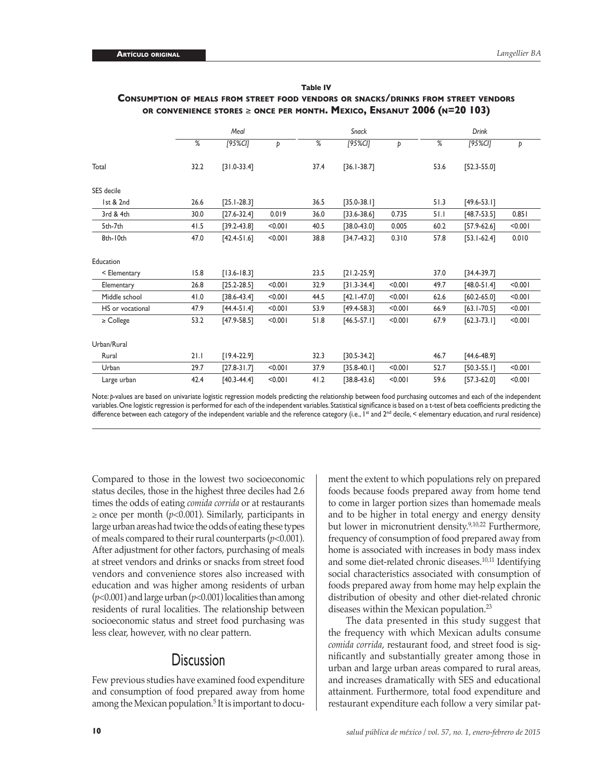|                  |      | Meal            |         |      | <b>Snack</b>    |         |      | Drink           |         |
|------------------|------|-----------------|---------|------|-----------------|---------|------|-----------------|---------|
|                  | %    | [95%CI]         | Þ       | %    | [95%CI]         | Þ       | %    | [95%CI]         | Þ       |
| Total            | 32.2 | $[31.0-33.4]$   |         | 37.4 | $[36.1 - 38.7]$ |         | 53.6 | $[52.3 - 55.0]$ |         |
| SES decile       |      |                 |         |      |                 |         |      |                 |         |
| 1st & 2nd        | 26.6 | $[25.1 - 28.3]$ |         | 36.5 | $[35.0 - 38.1]$ |         | 51.3 | $[49.6 - 53.1]$ |         |
| 3rd & 4th        | 30.0 | $[27.6 - 32.4]$ | 0.019   | 36.0 | $[33.6 - 38.6]$ | 0.735   | 51.1 | $[48.7 - 53.5]$ | 0.851   |
| 5th-7th          | 41.5 | $[39.2 - 43.8]$ | < 0.001 | 40.5 | $[38.0 - 43.0]$ | 0.005   | 60.2 | $[57.9 - 62.6]$ | < 0.001 |
| 8th-10th         | 47.0 | $[42.4 - 51.6]$ | < 0.001 | 38.8 | $[34.7 - 43.2]$ | 0.310   | 57.8 | $[53.1 - 62.4]$ | 0.010   |
| Education        |      |                 |         |      |                 |         |      |                 |         |
| < Elementary     | 15.8 | $[13.6 - 18.3]$ |         | 23.5 | $[21.2 - 25.9]$ |         | 37.0 | $[34.4 - 39.7]$ |         |
| Elementary       | 26.8 | $[25.2 - 28.5]$ | < 0.001 | 32.9 | $[31.3-34.4]$   | < 0.001 | 49.7 | $[48.0 - 51.4]$ | < 0.001 |
| Middle school    | 41.0 | $[38.6 - 43.4]$ | < 0.001 | 44.5 | $[42.1 - 47.0]$ | < 0.001 | 62.6 | $[60.2 - 65.0]$ | < 0.001 |
| HS or vocational | 47.9 | $[44.4 - 51.4]$ | < 0.001 | 53.9 | $[49.4 - 58.3]$ | < 0.001 | 66.9 | $[63.1 - 70.5]$ | < 0.001 |
| $\geq$ College   | 53.2 | $[47.9 - 58.5]$ | < 0.001 | 51.8 | $[46.5 - 57.1]$ | < 0.001 | 67.9 | $[62.3 - 73.1]$ | < 0.001 |
| Urban/Rural      |      |                 |         |      |                 |         |      |                 |         |
| Rural            | 21.1 | $[19.4 - 22.9]$ |         | 32.3 | $[30.5 - 34.2]$ |         | 46.7 | $[44.6 - 48.9]$ |         |
| Urban            | 29.7 | $[27.8 - 31.7]$ | < 0.001 | 37.9 | $[35.8 - 40.1]$ | < 0.001 | 52.7 | $[50.3 - 55.1]$ | < 0.001 |
| Large urban      | 42.4 | $[40.3 - 44.4]$ | < 0.001 | 41.2 | $[38.8 - 43.6]$ | < 0.001 | 59.6 | $[57.3 - 62.0]$ | < 0.001 |

#### **Table IV Consumption of meals from street food vendors or snacks/drinks from street vendors or convenience stores** ≥ **once per month. Mexico, Ensanut 2006 (n=20 103)**

Note: *p-*values are based on univariate logistic regression models predicting the relationship between food purchasing outcomes and each of the independent variables. One logistic regression is performed for each of the independent variables. Statistical significance is based on a t-test of beta coefficients predicting the difference between each category of the independent variable and the reference category (i.e., I<sup>st</sup> and 2<sup>nd</sup> decile, < elementary education, and rural residence)

Compared to those in the lowest two socioeconomic status deciles, those in the highest three deciles had 2.6 times the odds of eating *comida corrida* or at restaurants  $\geq$  once per month ( $p$ <0.001). Similarly, participants in large urban areas had twice the odds of eating these types of meals compared to their rural counterparts (*p*<0.001). After adjustment for other factors, purchasing of meals at street vendors and drinks or snacks from street food vendors and convenience stores also increased with education and was higher among residents of urban (*p*<0.001) and large urban (*p*<0.001) localities than among residents of rural localities. The relationship between socioeconomic status and street food purchasing was less clear, however, with no clear pattern.

# **Discussion**

Few previous studies have examined food expenditure and consumption of food prepared away from home among the Mexican population.<sup>5</sup> It is important to document the extent to which populations rely on prepared foods because foods prepared away from home tend to come in larger portion sizes than homemade meals and to be higher in total energy and energy density but lower in micronutrient density.<sup>9,10,22</sup> Furthermore, frequency of consumption of food prepared away from home is associated with increases in body mass index and some diet-related chronic diseases.<sup>10,11</sup> Identifying social characteristics associated with consumption of foods prepared away from home may help explain the distribution of obesity and other diet-related chronic diseases within the Mexican population.23

The data presented in this study suggest that the frequency with which Mexican adults consume *comida corrida*, restaurant food, and street food is significantly and substantially greater among those in urban and large urban areas compared to rural areas, and increases dramatically with SES and educational attainment. Furthermore, total food expenditure and restaurant expenditure each follow a very similar pat-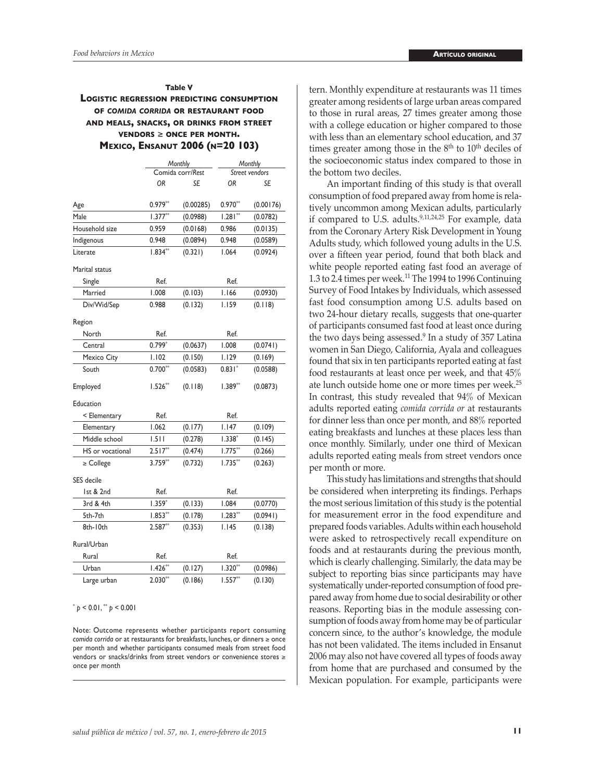#### **Table V Logistic regression predicting consumption of** *comida corrida* **or restaurant food and meals, snacks, or drinks from street vendors** ≥ **once per month. Mexico, Ensanut 2006 (n=20 103)**

|                  |           | Monthly          |           | Monthly        |
|------------------|-----------|------------------|-----------|----------------|
|                  |           | Comida corr/Rest |           | Street vendors |
|                  | OR        | SE               | <b>OR</b> | SE             |
| Age              | $0.979**$ | (0.00285)        | $0.970**$ | (0.00176)      |
| Male             | $1.377**$ | (0.0988)         | $1.281**$ | (0.0782)       |
| Household size   | 0.959     | (0.0168)         | 0.986     | (0.0135)       |
| Indigenous       | 0.948     | (0.0894)         | 0.948     | (0.0589)       |
| Literate         | $1.834**$ | (0.321)          | 1.064     | (0.0924)       |
| Marital status   |           |                  |           |                |
| Single           | Ref.      |                  | Ref.      |                |
| Married          | 1.008     | (0.103)          | I.I66     | (0.0930)       |
| Div/Wid/Sep      | 0.988     | (0.132)          | I.I59     | (0.118)        |
| Region           |           |                  |           |                |
| North            | Ref.      |                  | Ref.      |                |
| Central          | $0.799*$  | (0.0637)         | 1.008     | (0.0741)       |
| Mexico City      | I.I02     | (0.150)          | 1.129     | (0.169)        |
| South            | $0.700**$ | (0.0583)         | $0.831*$  | (0.0588)       |
| Employed         | $1.526**$ | (0.118)          | $1.389**$ | (0.0873)       |
| Education        |           |                  |           |                |
| < Elementary     | Ref.      |                  | Ref.      |                |
| Elementary       | 1.062     | (0.177)          | I.I47     | (0.109)        |
| Middle school    | 1.511     | (0.278)          | 1.338*    | (0.145)        |
| HS or vocational | $2.517**$ | (0.474)          | $1.775**$ | (0.266)        |
| $\ge$ College    | $3.759**$ | (0.732)          | $1.735**$ | (0.263)        |
| SES decile       |           |                  |           |                |
| 1st & 2nd        | Ref.      |                  | Ref.      |                |
| 3rd & 4th        | $1.359*$  | (0.133)          | 1.084     | (0.0770)       |
| 5th-7th          | $1.853**$ | (0.178)          | $1.283**$ | (0.0941)       |
| 8th-10th         | $2.587**$ | (0.353)          | 1.145     | (0.138)        |
| Rural/Urban      |           |                  |           |                |
| Rural            | Ref.      |                  | Ref.      |                |
| Urban            | $1.426**$ | (0.127)          | $1.320**$ | (0.0986)       |
| Large urban      | $2.030**$ | (0.186)          | $1.557**$ | (0.130)        |

 $p < 0.01$ ,  $p < 0.001$ 

Note: Outcome represents whether participants report consuming *comida corrida* or at restaurants for breakfasts, lunches, or dinners ≥ once per month and whether participants consumed meals from street food vendors or snacks/drinks from street vendors or convenience stores ≥ once per month

tern. Monthly expenditure at restaurants was 11 times greater among residents of large urban areas compared to those in rural areas, 27 times greater among those with a college education or higher compared to those with less than an elementary school education, and 37 times greater among those in the  $8<sup>th</sup>$  to  $10<sup>th</sup>$  deciles of the socioeconomic status index compared to those in the bottom two deciles.

An important finding of this study is that overall consumption of food prepared away from home is relatively uncommon among Mexican adults, particularly if compared to U.S. adults. $9,11,24,25$  For example, data from the Coronary Artery Risk Development in Young Adults study, which followed young adults in the U.S. over a fifteen year period, found that both black and white people reported eating fast food an average of 1.3 to 2.4 times per week.<sup>11</sup> The 1994 to 1996 Continuing Survey of Food Intakes by Individuals, which assessed fast food consumption among U.S. adults based on two 24-hour dietary recalls, suggests that one-quarter of participants consumed fast food at least once during the two days being assessed.<sup>9</sup> In a study of 357 Latina women in San Diego, California, Ayala and colleagues found that six in ten participants reported eating at fast food restaurants at least once per week, and that 45% ate lunch outside home one or more times per week.25 In contrast, this study revealed that 94% of Mexican adults reported eating *comida corrida or* at restaurants for dinner less than once per month, and 88% reported eating breakfasts and lunches at these places less than once monthly. Similarly, under one third of Mexican adults reported eating meals from street vendors once per month or more.

This study has limitations and strengths that should be considered when interpreting its findings. Perhaps the most serious limitation of this study is the potential for measurement error in the food expenditure and prepared foods variables. Adults within each household were asked to retrospectively recall expenditure on foods and at restaurants during the previous month, which is clearly challenging. Similarly, the data may be subject to reporting bias since participants may have systematically under-reported consumption of food prepared away from home due to social desirability or other reasons. Reporting bias in the module assessing consumption of foods away from home may be of particular concern since, to the author's knowledge, the module has not been validated. The items included in Ensanut 2006 may also not have covered all types of foods away from home that are purchased and consumed by the Mexican population. For example, participants were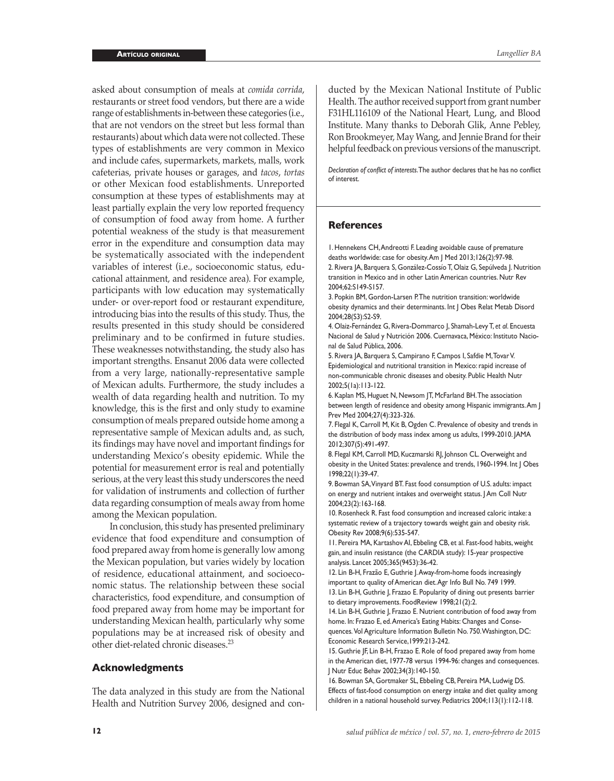asked about consumption of meals at *comida corrida*, restaurants or street food vendors, but there are a wide range of establishments in-between these categories (i.e., that are not vendors on the street but less formal than restaurants) about which data were not collected. These types of establishments are very common in Mexico and include cafes, supermarkets, markets, malls, work cafeterias, private houses or garages, and *tacos*, *tortas*  or other Mexican food establishments. Unreported consumption at these types of establishments may at least partially explain the very low reported frequency of consumption of food away from home. A further potential weakness of the study is that measurement error in the expenditure and consumption data may be systematically associated with the independent variables of interest (i.e., socioeconomic status, educational attainment, and residence area). For example, participants with low education may systematically under- or over-report food or restaurant expenditure, introducing bias into the results of this study. Thus, the results presented in this study should be considered preliminary and to be confirmed in future studies. These weaknesses notwithstanding, the study also has important strengths. Ensanut 2006 data were collected from a very large, nationally-representative sample of Mexican adults. Furthermore, the study includes a wealth of data regarding health and nutrition. To my knowledge, this is the first and only study to examine consumption of meals prepared outside home among a representative sample of Mexican adults and, as such, its findings may have novel and important findings for understanding Mexico's obesity epidemic. While the potential for measurement error is real and potentially serious, at the very least this study underscores the need for validation of instruments and collection of further data regarding consumption of meals away from home among the Mexican population.

In conclusion, this study has presented preliminary evidence that food expenditure and consumption of food prepared away from home is generally low among the Mexican population, but varies widely by location of residence, educational attainment, and socioeconomic status. The relationship between these social characteristics, food expenditure, and consumption of food prepared away from home may be important for understanding Mexican health, particularly why some populations may be at increased risk of obesity and other diet-related chronic diseases.23

#### **Acknowledgments**

The data analyzed in this study are from the National Health and Nutrition Survey 2006, designed and conducted by the Mexican National Institute of Public Health. The author received support from grant number F31HL116109 of the National Heart, Lung, and Blood Institute. Many thanks to Deborah Glik, Anne Pebley, Ron Brookmeyer, May Wang, and Jennie Brand for their helpful feedback on previous versions of the manuscript.

*Declaration of conflict of interests*. The author declares that he has no conflict of interest.

## **References**

1. Hennekens CH, Andreotti F. Leading avoidable cause of premature deaths worldwide: case for obesity. Am J Med 2013;126(2):97-98. 2. Rivera JA, Barquera S, González-Cossío T, Olaiz G, Sepúlveda J. Nutrition transition in Mexico and in other Latin American countries. Nutr Rev 2004;62:S149-S157.

3. Popkin BM, Gordon-Larsen P. The nutrition transition: worldwide obesity dynamics and their determinants. Int J Obes Relat Metab Disord 2004;28(S3):S2-S9.

4. Olaiz-Fernández G, Rivera-Dommarco J, Shamah-Levy T, *et al*. Encuesta Nacional de Salud y Nutrición 2006. Cuernavaca, México: Instituto Nacional de Salud Pública, 2006.

5. Rivera JA, Barquera S, Campirano F, Campos I, Safdie M, Tovar V. Epidemiological and nutritional transition in Mexico: rapid increase of non-communicable chronic diseases and obesity. Public Health Nutr 2002;5(1a):113-122.

6. Kaplan MS, Huguet N, Newsom JT, McFarland BH. The association between length of residence and obesity among Hispanic immigrants. Am J Prev Med 2004;27(4):323-326.

7. Flegal K, Carroll M, Kit B, Ogden C. Prevalence of obesity and trends in the distribution of body mass index among us adults, 1999-2010. JAMA 2012;307(5):491-497.

8. Flegal KM, Carroll MD, Kuczmarski RJ, Johnson CL. Overweight and obesity in the United States: prevalence and trends, 1960-1994. Int J Obes 1998;22(1):39-47.

9. Bowman SA, Vinyard BT. Fast food consumption of U.S. adults: impact on energy and nutrient intakes and overweight status. J Am Coll Nutr 2004;23(2):163-168.

10. Rosenheck R. Fast food consumption and increased caloric intake: a systematic review of a trajectory towards weight gain and obesity risk. Obesity Rev 2008;9(6):535-547.

11. Pereira MA, Kartashov AI, Ebbeling CB, et al. Fast-food habits, weight gain, and insulin resistance (the CARDIA study): 15-year prospective analysis. Lancet 2005;365(9453):36-42.

12. Lin B-H, Frazão E, Guthrie J. Away-from-home foods increasingly important to quality of American diet. Agr Info Bull No*.* 749 1999. 13. Lin B-H, Guthrie J, Frazao E. Popularity of dining out presents barrier to dietary improvements. FoodReview 1998;21(2):2.

14. Lin B-H, Guthrie J, Frazao E. Nutrient contribution of food away from home. In: Frazao E, ed. America's Eating Habits: Changes and Consequences*.* Vol Agriculture Information Bulletin No. 750. Washington, DC: Economic Research Service,1999:213-242.

15. Guthrie JF, Lin B-H, Frazao E. Role of food prepared away from home in the American diet, 1977-78 versus 1994-96: changes and consequences. J Nutr Educ Behav 2002;34(3):140-150.

16. Bowman SA, Gortmaker SL, Ebbeling CB, Pereira MA, Ludwig DS. Effects of fast-food consumption on energy intake and diet quality among children in a national household survey. Pediatrics 2004;113(1):112-118.